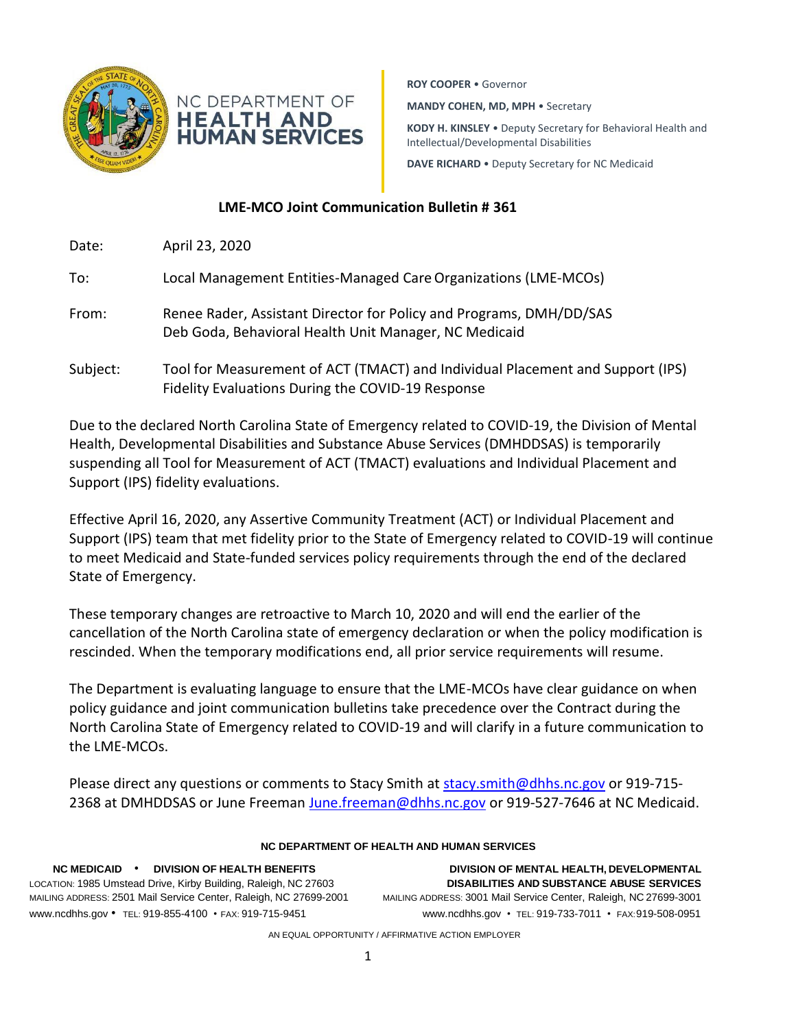

**ROY COOPER** • Governor

**MANDY COHEN, MD, MPH** • Secretary

**KODY H. KINSLEY** • Deputy Secretary for Behavioral Health and Intellectual/Developmental Disabilities

**DAVE RICHARD** • Deputy Secretary for NC Medicaid

## **LME-MCO Joint Communication Bulletin # 361**

**HEALTH AND HUMAN SERVICES** 

| Date:    | April 23, 2020                                                                                                                      |
|----------|-------------------------------------------------------------------------------------------------------------------------------------|
| To:      | Local Management Entities-Managed Care Organizations (LME-MCOs)                                                                     |
| From:    | Renee Rader, Assistant Director for Policy and Programs, DMH/DD/SAS<br>Deb Goda, Behavioral Health Unit Manager, NC Medicaid        |
| Subject: | Tool for Measurement of ACT (TMACT) and Individual Placement and Support (IPS)<br>Fidelity Evaluations During the COVID-19 Response |

Due to the declared North Carolina State of Emergency related to COVID-19, the Division of Mental Health, Developmental Disabilities and Substance Abuse Services (DMHDDSAS) is temporarily suspending all Tool for Measurement of ACT (TMACT) evaluations and Individual Placement and Support (IPS) fidelity evaluations.

Effective April 16, 2020, any Assertive Community Treatment (ACT) or Individual Placement and Support (IPS) team that met fidelity prior to the State of Emergency related to COVID-19 will continue to meet Medicaid and State-funded services policy requirements through the end of the declared State of Emergency.

These temporary changes are retroactive to March 10, 2020 and will end the earlier of the cancellation of the North Carolina state of emergency declaration or when the policy modification is rescinded. When the temporary modifications end, all prior service requirements will resume.

The Department is evaluating language to ensure that the LME-MCOs have clear guidance on when policy guidance and joint communication bulletins take precedence over the Contract during the North Carolina State of Emergency related to COVID-19 and will clarify in a future communication to the LME-MCOs.

Please direct any questions or comments to Stacy Smith at [stacy.smith@dhhs.nc.gov](mailto:stacy.smith@dhhs.nc.gov) or 919-715- 2368 at DMHDDSAS or June Freeman [June.freeman@dhhs.nc.gov](mailto:June.freeman@dhhs.nc.gov) or 919-527-7646 at NC Medicaid.

| NC DEPARTMENT OF HEALTH AND HUMAN SERVICES                        |
|-------------------------------------------------------------------|
| DIVISION OF MENTAL HEALTH, DEVELOPMENTAL                          |
| <b>DISABILITIES AND SUBSTANCE ABUSE SERVICES</b>                  |
| MAILING ADDRESS: 3001 Mail Service Center, Raleigh, NC 27699-3001 |
| www.ncdhhs.gov • TEL: 919-733-7011 • FAX: 919-508-0951            |
|                                                                   |

AN EQUAL OPPORTUNITY / AFFIRMATIVE ACTION EMPLOYER